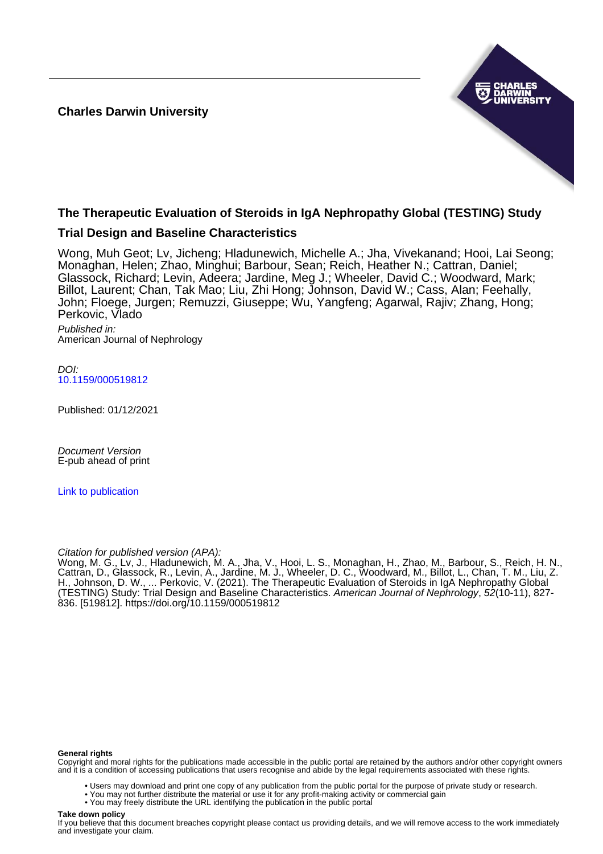**Charles Darwin University**



# **The Therapeutic Evaluation of Steroids in IgA Nephropathy Global (TESTING) Study**

# **Trial Design and Baseline Characteristics**

Wong, Muh Geot; Lv, Jicheng; Hladunewich, Michelle A.; Jha, Vivekanand; Hooi, Lai Seong; Monaghan, Helen; Zhao, Minghui; Barbour, Sean; Reich, Heather N.; Cattran, Daniel; Glassock, Richard; Levin, Adeera; Jardine, Meg J.; Wheeler, David C.; Woodward, Mark; Billot, Laurent; Chan, Tak Mao; Liu, Zhi Hong; Johnson, David W.; Cass, Alan; Feehally, John; Floege, Jurgen; Remuzzi, Giuseppe; Wu, Yangfeng; Agarwal, Rajiv; Zhang, Hong; Perkovic, Vlado

Published in: American Journal of Nephrology

DOI: [10.1159/000519812](https://doi.org/10.1159/000519812)

Published: 01/12/2021

Document Version E-pub ahead of print

[Link to publication](https://researchers.cdu.edu.au/en/publications/9c5c6cf1-d8de-4513-b143-287135cfa76b)

## Citation for published version (APA):

Wong, M. G., Lv, J., Hladunewich, M. A., Jha, V., Hooi, L. S., Monaghan, H., Zhao, M., Barbour, S., Reich, H. N., Cattran, D., Glassock, R., Levin, A., Jardine, M. J., Wheeler, D. C., Woodward, M., Billot, L., Chan, T. M., Liu, Z. H., Johnson, D. W., ... Perkovic, V. (2021). The Therapeutic Evaluation of Steroids in IgA Nephropathy Global (TESTING) Study: Trial Design and Baseline Characteristics. American Journal of Nephrology, 52(10-11), 827- 836. [519812]. <https://doi.org/10.1159/000519812>

#### **General rights**

Copyright and moral rights for the publications made accessible in the public portal are retained by the authors and/or other copyright owners and it is a condition of accessing publications that users recognise and abide by the legal requirements associated with these rights.

- Users may download and print one copy of any publication from the public portal for the purpose of private study or research.
- You may not further distribute the material or use it for any profit-making activity or commercial gain
	- You may freely distribute the URL identifying the publication in the public portal

#### **Take down policy**

If you believe that this document breaches copyright please contact us providing details, and we will remove access to the work immediately and investigate your claim.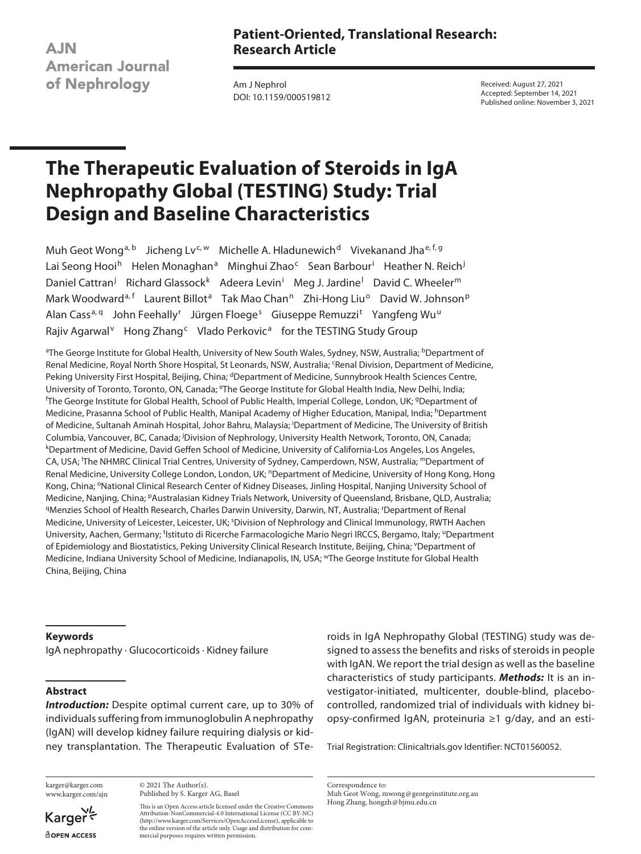**AJN American Journal** of Nephrology

# **Patient-Oriented, Translational Research: Research Article**

Am J Nephrol DOI: 10.1159/000519812 Received: August 27, 2021 Accepted: September 14, 2021 Published online: November 3, 2021

# **The Therapeutic Evaluation of Steroids in IgA Nephropathy Global (TESTING) Study: Trial Design and Baseline Characteristics**

Muh Geot Wong<sup>a, b</sup> Jicheng Lv<sup>c, w</sup> Michelle A. Hladunewich<sup>d</sup> Vivekanand Jha<sup>e, f, g</sup> Lai Seong Hooi<sup>h</sup> Helen Monaghan<sup>a</sup> Minghui Zhao<sup>c</sup> Sean Barbour<sup>i</sup> Heather N. Reich<sup>j</sup> Daniel Cattran<sup>j</sup> Richard Glassock<sup>k</sup> Adeera Levin<sup>i</sup> Meg J. Jardine<sup>l</sup> David C. Wheeler<sup>m</sup> Mark Woodward<sup>a, f</sup> Laurent Billot<sup>a</sup> Tak Mao Chan<sup>n</sup> Zhi-Hong Liu<sup>o</sup> David W. Johnson<sup>p</sup> Alan Cass<sup>a, q</sup> John Feehally<sup>r</sup> Jürgen Floege<sup>s</sup> Giuseppe Remuzzi<sup>t</sup> Yangfeng Wu<sup>u</sup> Rajiv Agarwal<sup>v</sup> Hong Zhang<sup>c</sup> Vlado Perkovic<sup>a</sup> for the TESTING Study Group

<sup>a</sup>The George Institute for Global Health, University of New South Wales, Sydney, NSW, Australia; <sup>b</sup>Department of Renal Medicine, Royal North Shore Hospital, St Leonards, NSW, Australia; <sup>c</sup>Renal Division, Department of Medicine, Peking University First Hospital, Beijing, China; <sup>d</sup>Department of Medicine, Sunnybrook Health Sciences Centre, University of Toronto, Toronto, ON, Canada; <sup>e</sup>The George Institute for Global Health India, New Delhi, India; The George Institute for Global Health, School of Public Health, Imperial College, London, UK; <sup>g</sup>Department of Medicine, Prasanna School of Public Health, Manipal Academy of Higher Education, Manipal, India; hDepartment of Medicine, Sultanah Aminah Hospital, Johor Bahru, Malaysia; <sup>i</sup> Department of Medicine, The University of British Columbia, Vancouver, BC, Canada; <sup>j</sup>Division of Nephrology, University Health Network, Toronto, ON, Canada;<br><sup>k</sup>Denartment of Medicine, David Geffen School of Medicine, University of California-Los Angeles, Los Angeles Department of Medicine, David Geffen School of Medicine, University of California-Los Angeles, Los Angeles, CA, USA; <sup>I</sup>The NHMRC Clinical Trial Centres, University of Sydney, Camperdown, NSW, Australia; <sup>m</sup>Department of Renal Medicine, University College London, London, UK; <sup>n</sup>Department of Medicine, University of Hong Kong, Hong Kong, China; <sup>o</sup>National Clinical Research Center of Kidney Diseases, Jinling Hospital, Nanjing University School of Medicine, Nanjing, China; <sup>p</sup>Australasian Kidney Trials Network, University of Queensland, Brisbane, QLD, Australia;<br><sup>q</sup>Menzies School of Health Research, Charles Darwin University, Darwin, NT, Australia; 'Department of Re Medicine, University of Leicester, Leicester, UK; <sup>s</sup>Division of Nephrology and Clinical Immunology, RWTH Aachen University, Aachen, Germany; <sup>t</sup>Istituto di Ricerche Farmacologiche Mario Negri IRCCS, Bergamo, Italy; <sup>u</sup>Department of Epidemiology and Biostatistics, Peking University Clinical Research Institute, Beijing, China; YDepartment of Medicine, Indiana University School of Medicine, Indianapolis, IN, USA; wThe George Institute for Global Health China, Beijing, China

#### **Keywords**

IgA nephropathy · Glucocorticoids · Kidney failure

## **Abstract**

*Introduction:* Despite optimal current care, up to 30% of individuals suffering from immunoglobulin A nephropathy (IgAN) will develop kidney failure requiring dialysis or kidney transplantation. The Therapeutic Evaluation of STe-

karger@karger.com www.karger.com/ajn

Karger<sup>4</sup> **ROPEN ACCESS** 

© 2021 The Author(s). Published by S. Karger AG, Basel

This is an Open Access article licensed under the Creative Commons Attribution-NonCommercial-4.0 International License (CC BY-NC) (http://www.karger.com/Services/OpenAccessLicense), applicable to the online version of the article only. Usage and distribution for commercial purposes requires written permission.

roids in IgA Nephropathy Global (TESTING) study was designed to assess the benefits and risks of steroids in people with IgAN. We report the trial design as well as the baseline characteristics of study participants. *Methods:* It is an investigator-initiated, multicenter, double-blind, placebocontrolled, randomized trial of individuals with kidney biopsy-confirmed IgAN, proteinuria ≥1 g/day, and an esti-

Trial Registration: Clinicaltrials.gov Identifier: NCT01560052.

Correspondence to: Muh Geot Wong, mwong@georgeinstitute.org.au Hong Zhang, hongzh@bjmu.edu.cn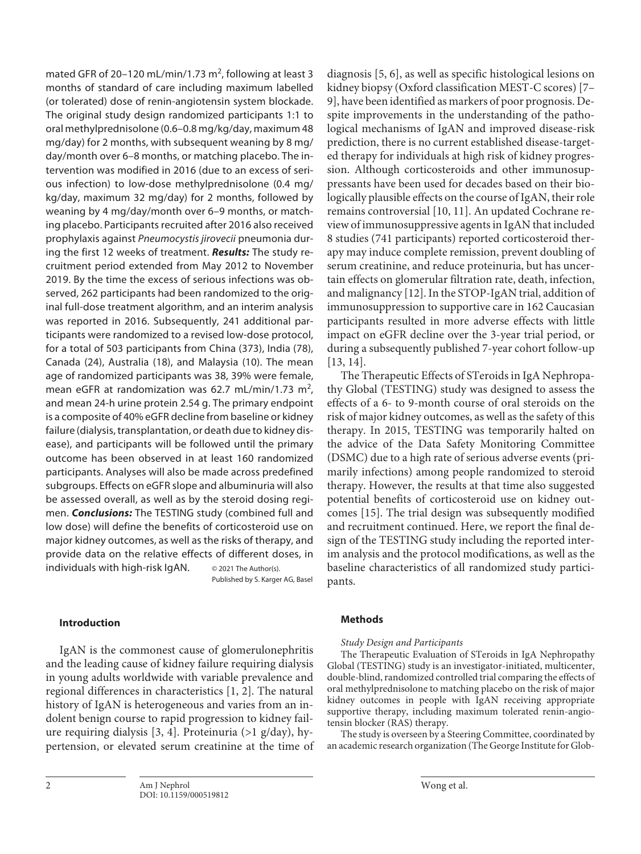mated GFR of 20–120 mL/min/1.73 m<sup>2</sup>, following at least 3 months of standard of care including maximum labelled (or tolerated) dose of renin-angiotensin system blockade. The original study design randomized participants 1:1 to oral methylprednisolone (0.6–0.8 mg/kg/day, maximum 48 mg/day) for 2 months, with subsequent weaning by 8 mg/ day/month over 6–8 months, or matching placebo. The intervention was modified in 2016 (due to an excess of serious infection) to low-dose methylprednisolone (0.4 mg/ kg/day, maximum 32 mg/day) for 2 months, followed by weaning by 4 mg/day/month over 6–9 months, or matching placebo. Participants recruited after 2016 also received prophylaxis against *Pneumocystis jirovecii* pneumonia during the first 12 weeks of treatment. *Results:* The study recruitment period extended from May 2012 to November 2019. By the time the excess of serious infections was observed, 262 participants had been randomized to the original full-dose treatment algorithm, and an interim analysis was reported in 2016. Subsequently, 241 additional participants were randomized to a revised low-dose protocol, for a total of 503 participants from China (373), India (78), Canada (24), Australia (18), and Malaysia (10). The mean age of randomized participants was 38, 39% were female, mean eGFR at randomization was 62.7 mL/min/1.73 m<sup>2</sup>, and mean 24-h urine protein 2.54 g. The primary endpoint is a composite of 40% eGFR decline from baseline or kidney failure (dialysis, transplantation, or death due to kidney disease), and participants will be followed until the primary outcome has been observed in at least 160 randomized participants. Analyses will also be made across predefined subgroups. Effects on eGFR slope and albuminuria will also be assessed overall, as well as by the steroid dosing regimen. *Conclusions:* The TESTING study (combined full and low dose) will define the benefits of corticosteroid use on major kidney outcomes, as well as the risks of therapy, and provide data on the relative effects of different doses, in individuals with high-risk IgAN. © 2021 The Author(s).

Published by S. Karger AG, Basel

# **Introduction**

<span id="page-2-1"></span><span id="page-2-0"></span>IgAN is the commonest cause of glomerulonephritis and the leading cause of kidney failure requiring dialysis in young adults worldwide with variable prevalence and regional differences in characteristics [\[1](#page-10-0), [2](#page-10-1)]. The natural history of IgAN is heterogeneous and varies from an indolent benign course to rapid progression to kidney failure requiring dialysis [\[3,](#page-10-2) [4\]](#page-10-3). Proteinuria (>1 g/day), hypertension, or elevated serum creatinine at the time of <span id="page-2-4"></span><span id="page-2-3"></span><span id="page-2-2"></span>diagnosis [[5](#page-10-4), [6](#page-10-5)], as well as specific histological lesions on kidney biopsy (Oxford classification MEST-C scores) [[7](#page-10-6)– [9](#page-10-7)], have been identified as markers of poor prognosis. Despite improvements in the understanding of the pathological mechanisms of IgAN and improved disease-risk prediction, there is no current established disease-targeted therapy for individuals at high risk of kidney progression. Although corticosteroids and other immunosuppressants have been used for decades based on their biologically plausible effects on the course of IgAN, their role remains controversial [[1](#page-10-0)0, [11\]](#page-10-0). An updated Cochrane review of immunosuppressive agents in IgAN that included 8 studies (741 participants) reported corticosteroid therapy may induce complete remission, prevent doubling of serum creatinine, and reduce proteinuria, but has uncertain effects on glomerular filtration rate, death, infection, and malignancy [\[1](#page-10-0)[2\]](#page-10-1). In the STOP-IgAN trial, addition of immunosuppression to supportive care in 162 Caucasian participants resulted in more adverse effects with little impact on eGFR decline over the 3-year trial period, or during a subsequently published 7-year cohort follow-up [[1](#page-10-0)[3](#page-10-2), [1](#page-10-0)[4\]](#page-10-3).

<span id="page-2-6"></span><span id="page-2-5"></span>The Therapeutic Effects of STeroids in IgA Nephropathy Global (TESTING) study was designed to assess the effects of a 6- to 9-month course of oral steroids on the risk of major kidney outcomes, as well as the safety of this therapy. In 2015, TESTING was temporarily halted on the advice of the Data Safety Monitoring Committee (DSMC) due to a high rate of serious adverse events (primarily infections) among people randomized to steroid therapy. However, the results at that time also suggested potential benefits of corticosteroid use on kidney outcomes [[1](#page-10-0)[5\]](#page-10-4). The trial design was subsequently modified and recruitment continued. Here, we report the final design of the TESTING study including the reported interim analysis and the protocol modifications, as well as the baseline characteristics of all randomized study participants.

#### <span id="page-2-7"></span>**Methods**

#### *Study Design and Participants*

The Therapeutic Evaluation of STeroids in IgA Nephropathy Global (TESTING) study is an investigator-initiated, multicenter, double-blind, randomized controlled trial comparing the effects of oral methylprednisolone to matching placebo on the risk of major kidney outcomes in people with IgAN receiving appropriate supportive therapy, including maximum tolerated renin-angiotensin blocker (RAS) therapy.

The study is overseen by a Steering Committee, coordinated by an academic research organization (The George Institute for Glob-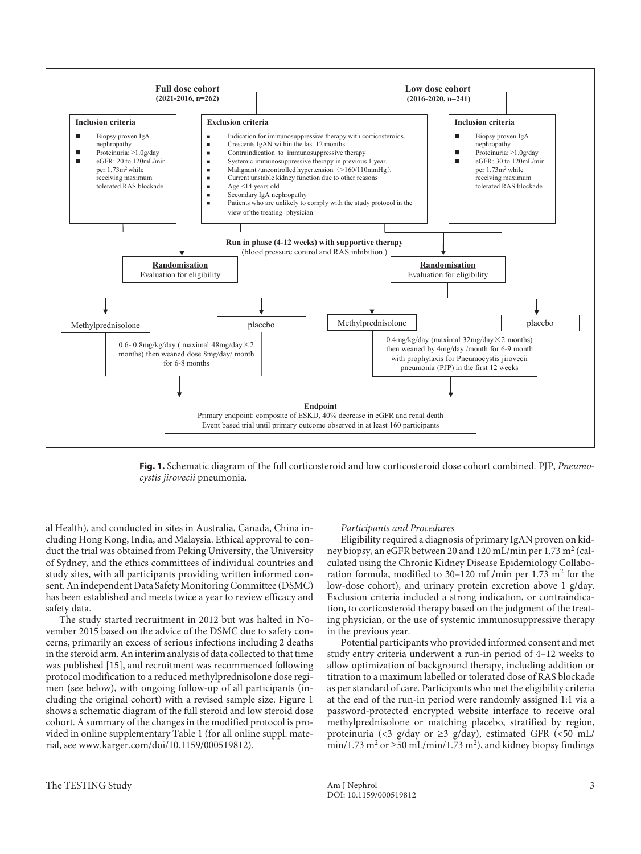

**Fig. 1.** Schematic diagram of the full corticosteroid and low corticosteroid dose cohort combined. PJP, *Pneumocystis jirovecii* pneumonia.

al Health), and conducted in sites in Australia, Canada, China including Hong Kong, India, and Malaysia. Ethical approval to conduct the trial was obtained from Peking University, the University of Sydney, and the ethics committees of individual countries and study sites, with all participants providing written informed consent. An independent Data Safety Monitoring Committee (DSMC) has been established and meets twice a year to review efficacy and safety data.

The study started recruitment in 2012 but was halted in November 2015 based on the advice of the DSMC due to safety concerns, primarily an excess of serious infections including 2 deaths in the steroid arm. An interim analysis of data collected to that time was published [[1](#page-10-0)[5\]](#page-10-4), and recruitment was recommenced following protocol modification to a reduced methylprednisolone dose regimen (see below), with ongoing follow-up of all participants (including the original cohort) with a revised sample size. Figure 1 shows a schematic diagram of the full steroid and low steroid dose cohort. A summary of the changes in the modified protocol is provided in online supplementary Table 1 (for all online suppl. material, see www.karger.com/doi/10.1159/000519812).

#### *Participants and Procedures*

Eligibility required a diagnosis of primary IgAN proven on kidney biopsy, an eGFR between 20 and 120 mL/min per 1.73 m<sup>2</sup> (calculated using the Chronic Kidney Disease Epidemiology Collaboration formula, modified to 30-120 mL/min per 1.73 m<sup>2</sup> for the low-dose cohort), and urinary protein excretion above 1 g/day. Exclusion criteria included a strong indication, or contraindication, to corticosteroid therapy based on the judgment of the treating physician, or the use of systemic immunosuppressive therapy in the previous year.

Potential participants who provided informed consent and met study entry criteria underwent a run-in period of 4–12 weeks to allow optimization of background therapy, including addition or titration to a maximum labelled or tolerated dose of RAS blockade as per standard of care. Participants who met the eligibility criteria at the end of the run-in period were randomly assigned 1:1 via a password-protected encrypted website interface to receive oral methylprednisolone or matching placebo, stratified by region, proteinuria (<3 g/day or ≥3 g/day), estimated GFR (<50 mL/ min/1.73 m<sup>2</sup> or  $\geq$ 50 mL/min/1.73 m<sup>2</sup>), and kidney biopsy findings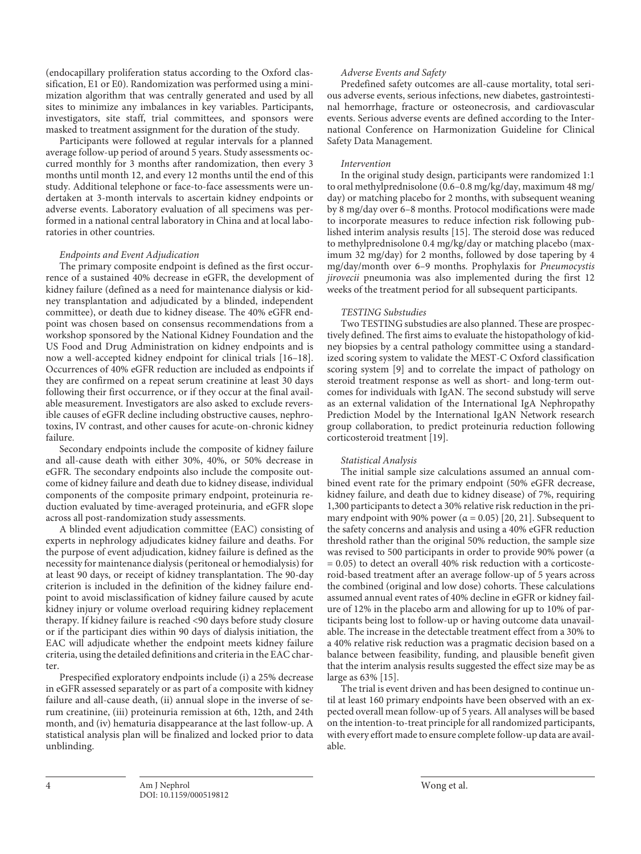(endocapillary proliferation status according to the Oxford classification, E1 or E0). Randomization was performed using a minimization algorithm that was centrally generated and used by all sites to minimize any imbalances in key variables. Participants, investigators, site staff, trial committees, and sponsors were masked to treatment assignment for the duration of the study.

Participants were followed at regular intervals for a planned average follow-up period of around 5 years. Study assessments occurred monthly for 3 months after randomization, then every 3 months until month 12, and every 12 months until the end of this study. Additional telephone or face-to-face assessments were undertaken at 3-month intervals to ascertain kidney endpoints or adverse events. Laboratory evaluation of all specimens was performed in a national central laboratory in China and at local laboratories in other countries.

#### *Endpoints and Event Adjudication*

<span id="page-4-0"></span>The primary composite endpoint is defined as the first occurrence of a sustained 40% decrease in eGFR, the development of kidney failure (defined as a need for maintenance dialysis or kidney transplantation and adjudicated by a blinded, independent committee), or death due to kidney disease. The 40% eGFR endpoint was chosen based on consensus recommendations from a workshop sponsored by the National Kidney Foundation and the US Food and Drug Administration on kidney endpoints and is now a well-accepted kidney endpoint for clinical trials [[1](#page-10-0)[6–](#page-10-5)[1](#page-10-0)[8\]](#page-10-8). Occurrences of 40% eGFR reduction are included as endpoints if they are confirmed on a repeat serum creatinine at least 30 days following their first occurrence, or if they occur at the final available measurement. Investigators are also asked to exclude reversible causes of eGFR decline including obstructive causes, nephrotoxins, IV contrast, and other causes for acute-on-chronic kidney failure.

Secondary endpoints include the composite of kidney failure and all-cause death with either 30%, 40%, or 50% decrease in eGFR. The secondary endpoints also include the composite outcome of kidney failure and death due to kidney disease, individual components of the composite primary endpoint, proteinuria reduction evaluated by time-averaged proteinuria, and eGFR slope across all post-randomization study assessments.

A blinded event adjudication committee (EAC) consisting of experts in nephrology adjudicates kidney failure and deaths. For the purpose of event adjudication, kidney failure is defined as the necessity for maintenance dialysis (peritoneal or hemodialysis) for at least 90 days, or receipt of kidney transplantation. The 90-day criterion is included in the definition of the kidney failure endpoint to avoid misclassification of kidney failure caused by acute kidney injury or volume overload requiring kidney replacement therapy. If kidney failure is reached <90 days before study closure or if the participant dies within 90 days of dialysis initiation, the EAC will adjudicate whether the endpoint meets kidney failure criteria, using the detailed definitions and criteria in the EAC charter.

Prespecified exploratory endpoints include (i) a 25% decrease in eGFR assessed separately or as part of a composite with kidney failure and all-cause death, (ii) annual slope in the inverse of serum creatinine, (iii) proteinuria remission at 6th, 12th, and 24th month, and (iv) hematuria disappearance at the last follow-up. A statistical analysis plan will be finalized and locked prior to data unblinding.

# *Adverse Events and Safety*

Predefined safety outcomes are all-cause mortality, total serious adverse events, serious infections, new diabetes, gastrointestinal hemorrhage, fracture or osteonecrosis, and cardiovascular events. Serious adverse events are defined according to the International Conference on Harmonization Guideline for Clinical Safety Data Management.

#### *Intervention*

In the original study design, participants were randomized 1:1 to oral methylprednisolone (0.6–0.8 mg/kg/day, maximum 48 mg/ day) or matching placebo for 2 months, with subsequent weaning by 8 mg/day over 6–8 months. Protocol modifications were made to incorporate measures to reduce infection risk following published interim analysis results [[1](#page-10-0)[5\]](#page-10-4). The steroid dose was reduced to methylprednisolone 0.4 mg/kg/day or matching placebo (maximum 32 mg/day) for 2 months, followed by dose tapering by 4 mg/day/month over 6–9 months. Prophylaxis for *Pneumocystis jirovecii* pneumonia was also implemented during the first 12 weeks of the treatment period for all subsequent participants.

#### *TESTING Substudies*

Two TESTING substudies are also planned. These are prospectively defined. The first aims to evaluate the histopathology of kidney biopsies by a central pathology committee using a standardized scoring system to validate the MEST-C Oxford classification scoring system [\[9\]](#page-10-7) and to correlate the impact of pathology on steroid treatment response as well as short- and long-term outcomes for individuals with IgAN. The second substudy will serve as an external validation of the International IgA Nephropathy Prediction Model by the International IgAN Network research group collaboration, to predict proteinuria reduction following corticosteroid treatment [\[1](#page-10-0)[9](#page-10-7)].

#### *Statistical Analysis*

The initial sample size calculations assumed an annual combined event rate for the primary endpoint (50% eGFR decrease, kidney failure, and death due to kidney disease) of 7%, requiring 1,300 participants to detect a 30% relative risk reduction in the primary endpoint with 90% power ( $\alpha$  = 0.05) [[2](#page-10-1)0, [2](#page-10-1)[1](#page-10-0)]. Subsequent to the safety concerns and analysis and using a 40% eGFR reduction threshold rather than the original 50% reduction, the sample size was revised to 500 participants in order to provide 90% power (α  $= 0.05$ ) to detect an overall 40% risk reduction with a corticosteroid-based treatment after an average follow-up of 5 years across the combined (original and low dose) cohorts. These calculations assumed annual event rates of 40% decline in eGFR or kidney failure of 12% in the placebo arm and allowing for up to 10% of participants being lost to follow-up or having outcome data unavailable. The increase in the detectable treatment effect from a 30% to a 40% relative risk reduction was a pragmatic decision based on a balance between feasibility, funding, and plausible benefit given that the interim analysis results suggested the effect size may be as large as 63% [\[1](#page-10-0)[5](#page-10-4)].

The trial is event driven and has been designed to continue until at least 160 primary endpoints have been observed with an expected overall mean follow-up of 5 years. All analyses will be based on the intention-to-treat principle for all randomized participants, with every effort made to ensure complete follow-up data are available.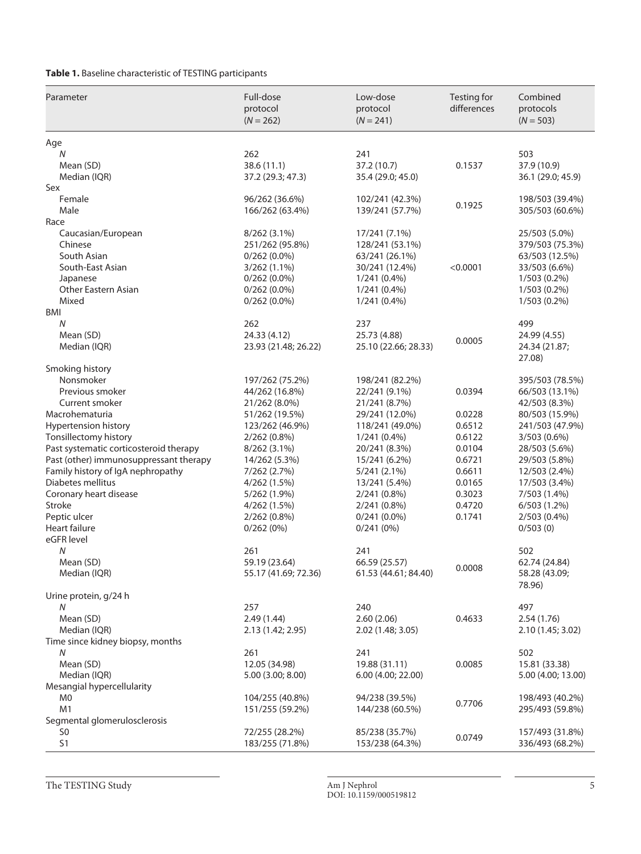**Table 1.** Baseline characteristic of TESTING participants

| Parameter                                      | Full-dose<br>protocol<br>$(N = 262)$ | Low-dose<br>protocol<br>$(N = 241)$ | Testing for<br>differences | Combined<br>protocols<br>$(N = 503)$ |
|------------------------------------------------|--------------------------------------|-------------------------------------|----------------------------|--------------------------------------|
| Age                                            |                                      |                                     |                            |                                      |
| N                                              | 262                                  | 241                                 |                            | 503                                  |
| Mean (SD)                                      | 38.6(11.1)                           | 37.2 (10.7)                         | 0.1537                     | 37.9 (10.9)                          |
| Median (IQR)                                   | 37.2 (29.3; 47.3)                    | 35.4 (29.0; 45.0)                   |                            | 36.1 (29.0; 45.9)                    |
| Sex                                            |                                      |                                     |                            |                                      |
| Female                                         | 96/262 (36.6%)                       | 102/241 (42.3%)                     | 0.1925                     | 198/503 (39.4%)                      |
| Male                                           | 166/262 (63.4%)                      | 139/241 (57.7%)                     |                            | 305/503 (60.6%)                      |
| Race<br>Caucasian/European                     | 8/262 (3.1%)                         | 17/241 (7.1%)                       |                            | 25/503 (5.0%)                        |
| Chinese                                        | 251/262 (95.8%)                      | 128/241 (53.1%)                     |                            | 379/503 (75.3%)                      |
| South Asian                                    | $0/262(0.0\%)$                       | 63/241 (26.1%)                      |                            | 63/503 (12.5%)                       |
| South-East Asian                               | $3/262(1.1\%)$                       | 30/241 (12.4%)                      | < 0.0001                   | 33/503 (6.6%)                        |
| Japanese                                       | $0/262(0.0\%)$                       | $1/241(0.4\%)$                      |                            | 1/503 (0.2%)                         |
| <b>Other Eastern Asian</b>                     | $0/262(0.0\%)$                       | $1/241(0.4\%)$                      |                            | $1/503(0.2\%)$                       |
| Mixed                                          | $0/262(0.0\%)$                       | $1/241(0.4\%)$                      |                            | $1/503(0.2\%)$                       |
| BMI                                            |                                      |                                     |                            |                                      |
| N                                              | 262                                  | 237                                 |                            | 499                                  |
| Mean (SD)                                      | 24.33 (4.12)                         | 25.73 (4.88)                        | 0.0005                     | 24.99 (4.55)                         |
| Median (IQR)                                   | 23.93 (21.48; 26.22)                 | 25.10 (22.66; 28.33)                |                            | 24.34 (21.87;<br>27.08)              |
| Smoking history                                |                                      |                                     |                            |                                      |
| Nonsmoker                                      | 197/262 (75.2%)                      | 198/241 (82.2%)                     |                            | 395/503 (78.5%)                      |
| Previous smoker                                | 44/262 (16.8%)                       | 22/241 (9.1%)                       | 0.0394                     | 66/503 (13.1%)                       |
| Current smoker<br>Macrohematuria               | 21/262 (8.0%)<br>51/262 (19.5%)      | 21/241 (8.7%)<br>29/241 (12.0%)     | 0.0228                     | 42/503 (8.3%)<br>80/503 (15.9%)      |
| Hypertension history                           | 123/262 (46.9%)                      | 118/241 (49.0%)                     | 0.6512                     | 241/503 (47.9%)                      |
| Tonsillectomy history                          | $2/262(0.8\%)$                       | $1/241(0.4\%)$                      | 0.6122                     | 3/503 (0.6%)                         |
| Past systematic corticosteroid therapy         | $8/262(3.1\%)$                       | 20/241 (8.3%)                       | 0.0104                     | 28/503 (5.6%)                        |
| Past (other) immunosuppressant therapy         | 14/262 (5.3%)                        | 15/241 (6.2%)                       | 0.6721                     | 29/503 (5.8%)                        |
| Family history of IgA nephropathy              | 7/262 (2.7%)                         | 5/241(2.1%)                         | 0.6611                     | 12/503 (2.4%)                        |
| Diabetes mellitus                              | 4/262 (1.5%)                         | 13/241 (5.4%)                       | 0.0165                     | 17/503 (3.4%)                        |
| Coronary heart disease                         | 5/262 (1.9%)                         | $2/241(0.8\%)$                      | 0.3023                     | 7/503 (1.4%)                         |
| Stroke                                         | 4/262 (1.5%)                         | $2/241(0.8\%)$                      | 0.4720                     | 6/503(1.2%)                          |
| Peptic ulcer                                   | $2/262(0.8\%)$                       | $0/241(0.0\%)$                      | 0.1741                     | 2/503 (0.4%)                         |
| <b>Heart failure</b><br>eGFR level             | 0/262(0%)                            | 0/241(0%)                           |                            | 0/503(0)                             |
| N                                              | 261                                  | 241                                 |                            | 502                                  |
| Mean (SD)                                      | 59.19 (23.64)                        | 66.59 (25.57)                       |                            | 62.74 (24.84)                        |
| Median (IQR)                                   | 55.17 (41.69; 72.36)                 | 61.53 (44.61; 84.40)                | 0.0008                     | 58.28 (43.09;<br>78.96)              |
| Urine protein, g/24 h                          |                                      |                                     |                            |                                      |
| N                                              | 257                                  | 240                                 |                            | 497                                  |
| Mean (SD)                                      | 2.49(1.44)                           | 2.60(2.06)                          | 0.4633                     | 2.54(1.76)                           |
| Median (IQR)                                   | 2.13 (1.42; 2.95)                    | 2.02 (1.48; 3.05)                   |                            | 2.10 (1.45; 3.02)                    |
| Time since kidney biopsy, months<br>${\cal N}$ | 261                                  | 241                                 |                            | 502                                  |
| Mean (SD)                                      | 12.05 (34.98)                        | 19.88 (31.11)                       | 0.0085                     | 15.81 (33.38)                        |
| Median (IQR)                                   | 5.00 (3.00; 8.00)                    | 6.00 (4.00; 22.00)                  |                            | 5.00 (4.00; 13.00)                   |
| Mesangial hypercellularity                     |                                      |                                     |                            |                                      |
| M0                                             | 104/255 (40.8%)                      | 94/238 (39.5%)                      |                            | 198/493 (40.2%)                      |
| M <sub>1</sub>                                 | 151/255 (59.2%)                      | 144/238 (60.5%)                     | 0.7706                     | 295/493 (59.8%)                      |
| Segmental glomerulosclerosis                   |                                      |                                     |                            |                                      |
| S0                                             | 72/255 (28.2%)                       | 85/238 (35.7%)                      |                            | 157/493 (31.8%)                      |
| S1                                             | 183/255 (71.8%)                      | 153/238 (64.3%)                     | 0.0749                     | 336/493 (68.2%)                      |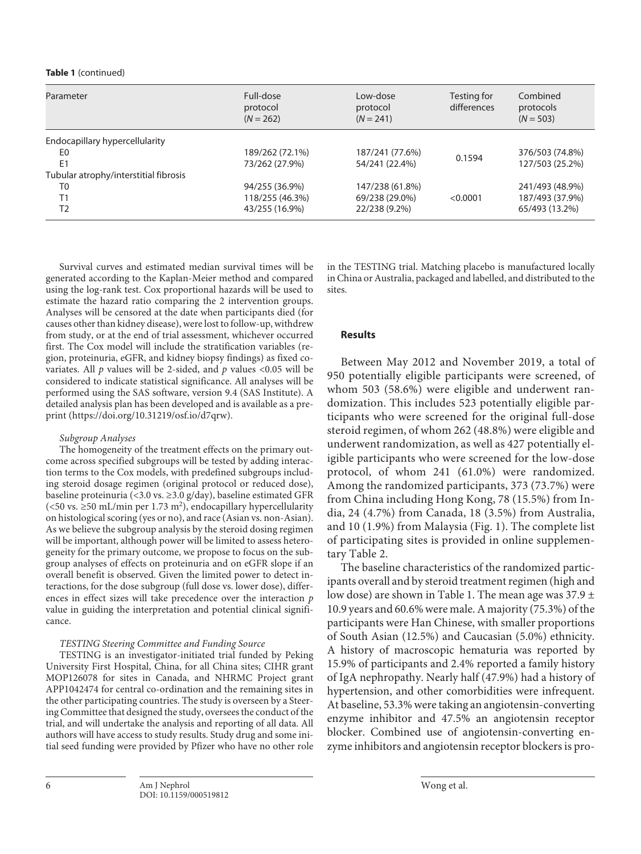#### **Table 1** (continued)

| Parameter                             | Full-dose<br>protocol<br>$(N = 262)$ | Low-dose<br>protocol<br>$(N = 241)$ | Testing for<br>differences | Combined<br>protocols<br>$(N = 503)$ |
|---------------------------------------|--------------------------------------|-------------------------------------|----------------------------|--------------------------------------|
| Endocapillary hypercellularity        |                                      |                                     |                            |                                      |
| E0                                    | 189/262 (72.1%)                      | 187/241 (77.6%)                     |                            | 376/503 (74.8%)                      |
| E <sub>1</sub>                        | 73/262 (27.9%)                       | 54/241 (22.4%)                      | 0.1594                     | 127/503 (25.2%)                      |
| Tubular atrophy/interstitial fibrosis |                                      |                                     |                            |                                      |
| T <sub>0</sub>                        | 94/255 (36.9%)                       | 147/238 (61.8%)                     |                            | 241/493 (48.9%)                      |
| T1                                    | 118/255 (46.3%)                      | 69/238 (29.0%)                      | < 0.0001                   | 187/493 (37.9%)                      |
| T <sub>2</sub>                        | 43/255 (16.9%)                       | 22/238 (9.2%)                       |                            | 65/493 (13.2%)                       |

Survival curves and estimated median survival times will be generated according to the Kaplan-Meier method and compared using the log-rank test. Cox proportional hazards will be used to estimate the hazard ratio comparing the 2 intervention groups. Analyses will be censored at the date when participants died (for causes other than kidney disease), were lost to follow-up, withdrew from study, or at the end of trial assessment, whichever occurred first. The Cox model will include the stratification variables (region, proteinuria, eGFR, and kidney biopsy findings) as fixed covariates. All *p* values will be 2-sided, and *p* values <0.05 will be considered to indicate statistical significance. All analyses will be performed using the SAS software, version 9.4 (SAS Institute). A detailed analysis plan has been developed and is available as a preprint (https://doi.org/10.31219/osf.io/d7qrw).

#### *Subgroup Analyses*

The homogeneity of the treatment effects on the primary outcome across specified subgroups will be tested by adding interaction terms to the Cox models, with predefined subgroups including steroid dosage regimen (original protocol or reduced dose), baseline proteinuria (<3.0 vs. ≥3.0 g/day), baseline estimated GFR (<50 vs.  $\geq$ 50 mL/min per 1.73 m<sup>2</sup>), endocapillary hypercellularity on histological scoring (yes or no), and race (Asian vs. non-Asian). As we believe the subgroup analysis by the steroid dosing regimen will be important, although power will be limited to assess heterogeneity for the primary outcome, we propose to focus on the subgroup analyses of effects on proteinuria and on eGFR slope if an overall benefit is observed. Given the limited power to detect interactions, for the dose subgroup (full dose vs. lower dose), differences in effect sizes will take precedence over the interaction *p* value in guiding the interpretation and potential clinical significance.

#### *TESTING Steering Committee and Funding Source*

TESTING is an investigator-initiated trial funded by Peking University First Hospital, China, for all China sites; CIHR grant MOP126078 for sites in Canada, and NHRMC Project grant APP1042474 for central co-ordination and the remaining sites in the other participating countries. The study is overseen by a Steering Committee that designed the study, oversees the conduct of the trial, and will undertake the analysis and reporting of all data. All authors will have access to study results. Study drug and some initial seed funding were provided by Pfizer who have no other role in the TESTING trial. Matching placebo is manufactured locally in China or Australia, packaged and labelled, and distributed to the sites.

#### **Results**

Between May 2012 and November 2019, a total of 950 potentially eligible participants were screened, of whom 503 (58.6%) were eligible and underwent randomization. This includes 523 potentially eligible participants who were screened for the original full-dose steroid regimen, of whom 262 (48.8%) were eligible and underwent randomization, as well as 427 potentially eligible participants who were screened for the low-dose protocol, of whom 241 (61.0%) were randomized. Among the randomized participants, 373 (73.7%) were from China including Hong Kong, 78 (15.5%) from India, 24 (4.7%) from Canada, 18 (3.5%) from Australia, and 10 (1.9%) from Malaysia (Fig. 1). The complete list of participating sites is provided in online supplementary Table 2.

The baseline characteristics of the randomized participants overall and by steroid treatment regimen (high and low dose) are shown in Table 1. The mean age was  $37.9 \pm$ 10.9 years and 60.6% were male. A majority (75.3%) of the participants were Han Chinese, with smaller proportions of South Asian (12.5%) and Caucasian (5.0%) ethnicity. A history of macroscopic hematuria was reported by 15.9% of participants and 2.4% reported a family history of IgA nephropathy. Nearly half (47.9%) had a history of hypertension, and other comorbidities were infrequent. At baseline, 53.3% were taking an angiotensin-converting enzyme inhibitor and 47.5% an angiotensin receptor blocker. Combined use of angiotensin-converting enzyme inhibitors and angiotensin receptor blockers is pro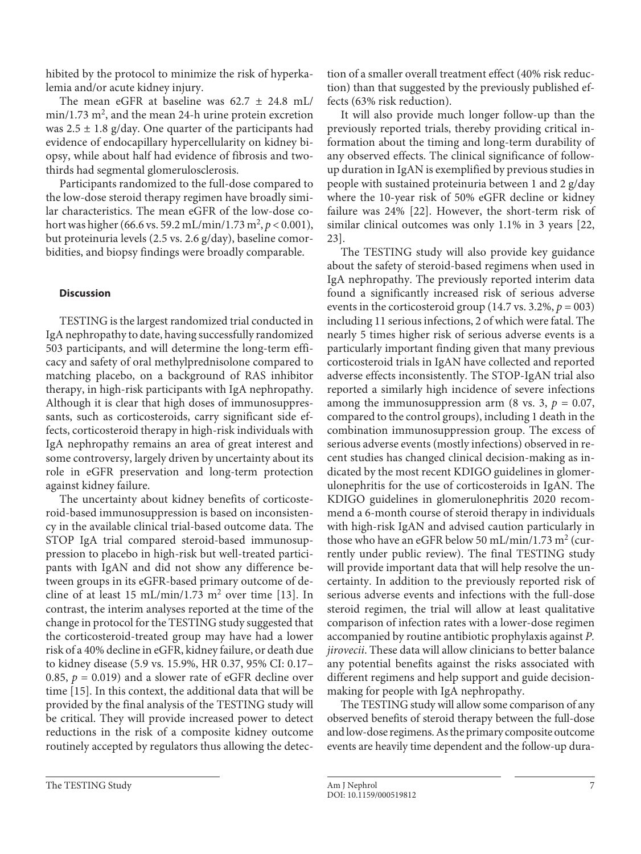hibited by the protocol to minimize the risk of hyperkalemia and/or acute kidney injury.

The mean eGFR at baseline was  $62.7 \pm 24.8$  mL/  $min/1.73$   $m^2$ , and the mean 24-h urine protein excretion was  $2.5 \pm 1.8$  g/day. One quarter of the participants had evidence of endocapillary hypercellularity on kidney biopsy, while about half had evidence of fibrosis and twothirds had segmental glomerulosclerosis.

Participants randomized to the full-dose compared to the low-dose steroid therapy regimen have broadly similar characteristics. The mean eGFR of the low-dose cohort was higher (66.6 vs. 59.2 mL/min/1.73 m<sup>2</sup>, p < 0.001), but proteinuria levels (2.5 vs. 2.6 g/day), baseline comorbidities, and biopsy findings were broadly comparable.

# **Discussion**

TESTING is the largest randomized trial conducted in IgA nephropathy to date, having successfully randomized 503 participants, and will determine the long-term efficacy and safety of oral methylprednisolone compared to matching placebo, on a background of RAS inhibitor therapy, in high-risk participants with IgA nephropathy. Although it is clear that high doses of immunosuppressants, such as corticosteroids, carry significant side effects, corticosteroid therapy in high-risk individuals with IgA nephropathy remains an area of great interest and some controversy, largely driven by uncertainty about its role in eGFR preservation and long-term protection against kidney failure.

The uncertainty about kidney benefits of corticosteroid-based immunosuppression is based on inconsistency in the available clinical trial-based outcome data. The STOP IgA trial compared steroid-based immunosuppression to placebo in high-risk but well-treated participants with IgAN and did not show any difference between groups in its eGFR-based primary outcome of de-cline of at least [1](#page-10-0)5 mL/min/1.7[3](#page-10-2)  $m^2$  over time [13]. In contrast, the interim analyses reported at the time of the change in protocol for the TESTING study suggested that the corticosteroid-treated group may have had a lower risk of a 40% decline in eGFR, kidney failure, or death due to kidney disease (5.9 vs. 15.9%, HR 0.37, 95% CI: 0.17– 0.85,  $p = 0.019$ ) and a slower rate of eGFR decline over time [[1](#page-10-0)[5](#page-10-4)]. In this context, the additional data that will be provided by the final analysis of the TESTING study will be critical. They will provide increased power to detect reductions in the risk of a composite kidney outcome routinely accepted by regulators thus allowing the detection of a smaller overall treatment effect (40% risk reduction) than that suggested by the previously published effects (63% risk reduction).

It will also provide much longer follow-up than the previously reported trials, thereby providing critical information about the timing and long-term durability of any observed effects. The clinical significance of followup duration in IgAN is exemplified by previous studies in people with sustained proteinuria between 1 and 2 g/day where the 10-year risk of 50% eGFR decline or kidney failure was 24% [\[22\]](#page-10-1). However, the short-term risk of similar clinical outcomes was only 1.1% in 3 years [[22](#page-10-1), [2](#page-10-1)[3\]](#page-10-2).

The TESTING study will also provide key guidance about the safety of steroid-based regimens when used in IgA nephropathy. The previously reported interim data found a significantly increased risk of serious adverse events in the corticosteroid group  $(14.7 \text{ vs. } 3.2\%, p = 003)$ including 11 serious infections, 2 of which were fatal. The nearly 5 times higher risk of serious adverse events is a particularly important finding given that many previous corticosteroid trials in IgAN have collected and reported adverse effects inconsistently. The STOP-IgAN trial also reported a similarly high incidence of severe infections among the immunosuppression arm (8 vs. 3,  $p = 0.07$ , compared to the control groups), including 1 death in the combination immunosuppression group. The excess of serious adverse events (mostly infections) observed in recent studies has changed clinical decision-making as indicated by the most recent KDIGO guidelines in glomerulonephritis for the use of corticosteroids in IgAN. The KDIGO guidelines in glomerulonephritis 2020 recommend a 6-month course of steroid therapy in individuals with high-risk IgAN and advised caution particularly in those who have an eGFR below 50 mL/min/1.73 m<sup>2</sup> (currently under public review). The final TESTING study will provide important data that will help resolve the uncertainty. In addition to the previously reported risk of serious adverse events and infections with the full-dose steroid regimen, the trial will allow at least qualitative comparison of infection rates with a lower-dose regimen accompanied by routine antibiotic prophylaxis against *P. jirovecii*. These data will allow clinicians to better balance any potential benefits against the risks associated with different regimens and help support and guide decisionmaking for people with IgA nephropathy.

The TESTING study will allow some comparison of any observed benefits of steroid therapy between the full-dose and low-dose regimens. As the primary composite outcome events are heavily time dependent and the follow-up dura-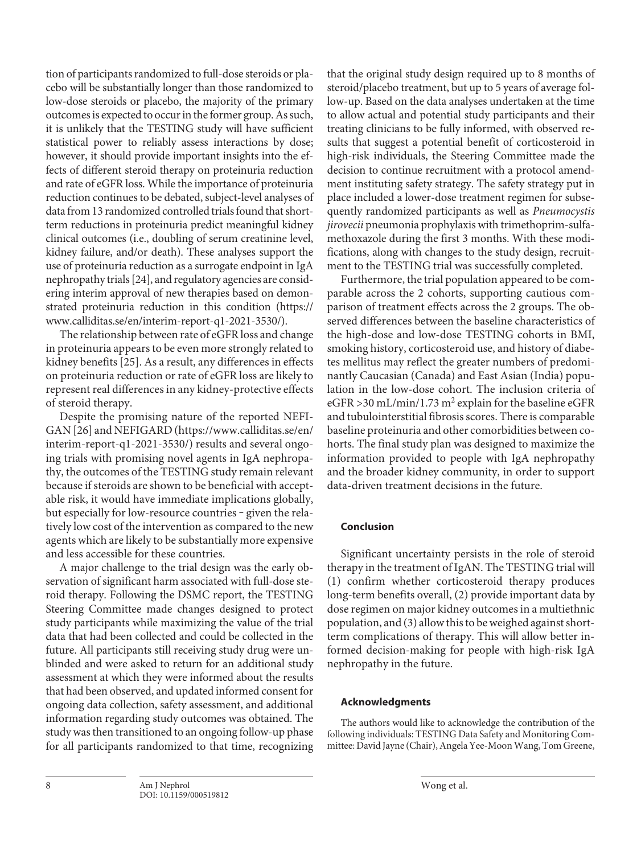tion of participants randomized to full-dose steroids or placebo will be substantially longer than those randomized to low-dose steroids or placebo, the majority of the primary outcomes is expected to occur in the former group. As such, it is unlikely that the TESTING study will have sufficient statistical power to reliably assess interactions by dose; however, it should provide important insights into the effects of different steroid therapy on proteinuria reduction and rate of eGFR loss. While the importance of proteinuria reduction continues to be debated, subject-level analyses of data from 13 randomized controlled trials found that shortterm reductions in proteinuria predict meaningful kidney clinical outcomes (i.e., doubling of serum creatinine level, kidney failure, and/or death). These analyses support the use of proteinuria reduction as a surrogate endpoint in IgA nephropathy trials [[2](#page-10-1)[4\]](#page-10-3), and regulatory agencies are considering interim approval of new therapies based on demonstrated proteinuria reduction in this condition (https:// www.calliditas.se/en/interim-report-q1-2021-3530/).

The relationship between rate of eGFR loss and change in proteinuria appears to be even more strongly related to kidney benefits [\[2](#page-10-1)[5\]](#page-10-4). As a result, any differences in effects on proteinuria reduction or rate of eGFR loss are likely to represent real differences in any kidney-protective effects of steroid therapy.

Despite the promising nature of the reported NEFI-GAN [[2](#page-10-1)[6](#page-10-5)] and NEFIGARD (https://www.calliditas.se/en/ interim-report-q1-2021-3530/) results and several ongoing trials with promising novel agents in IgA nephropathy, the outcomes of the TESTING study remain relevant because if steroids are shown to be beneficial with acceptable risk, it would have immediate implications globally, but especially for low-resource countries - given the relatively low cost of the intervention as compared to the new agents which are likely to be substantially more expensive and less accessible for these countries.

A major challenge to the trial design was the early observation of significant harm associated with full-dose steroid therapy. Following the DSMC report, the TESTING Steering Committee made changes designed to protect study participants while maximizing the value of the trial data that had been collected and could be collected in the future. All participants still receiving study drug were unblinded and were asked to return for an additional study assessment at which they were informed about the results that had been observed, and updated informed consent for ongoing data collection, safety assessment, and additional information regarding study outcomes was obtained. The study was then transitioned to an ongoing follow-up phase for all participants randomized to that time, recognizing

that the original study design required up to 8 months of steroid/placebo treatment, but up to 5 years of average follow-up. Based on the data analyses undertaken at the time to allow actual and potential study participants and their treating clinicians to be fully informed, with observed results that suggest a potential benefit of corticosteroid in high-risk individuals, the Steering Committee made the decision to continue recruitment with a protocol amendment instituting safety strategy. The safety strategy put in place included a lower-dose treatment regimen for subsequently randomized participants as well as *Pneumocystis jirovecii* pneumonia prophylaxis with trimethoprim-sulfamethoxazole during the first 3 months. With these modifications, along with changes to the study design, recruitment to the TESTING trial was successfully completed.

Furthermore, the trial population appeared to be comparable across the 2 cohorts, supporting cautious comparison of treatment effects across the 2 groups. The observed differences between the baseline characteristics of the high-dose and low-dose TESTING cohorts in BMI, smoking history, corticosteroid use, and history of diabetes mellitus may reflect the greater numbers of predominantly Caucasian (Canada) and East Asian (India) population in the low-dose cohort. The inclusion criteria of eGFR > 30 mL/min/1.73 m<sup>2</sup> explain for the baseline eGFR and tubulointerstitial fibrosis scores. There is comparable baseline proteinuria and other comorbidities between cohorts. The final study plan was designed to maximize the information provided to people with IgA nephropathy and the broader kidney community, in order to support data-driven treatment decisions in the future.

# **Conclusion**

Significant uncertainty persists in the role of steroid therapy in the treatment of IgAN. The TESTING trial will (1) confirm whether corticosteroid therapy produces long-term benefits overall, (2) provide important data by dose regimen on major kidney outcomes in a multiethnic population, and (3) allow this to be weighed against shortterm complications of therapy. This will allow better informed decision-making for people with high-risk IgA nephropathy in the future.

# **Acknowledgments**

The authors would like to acknowledge the contribution of the following individuals: TESTING Data Safety and Monitoring Committee: David Jayne (Chair), Angela Yee-Moon Wang, Tom Greene,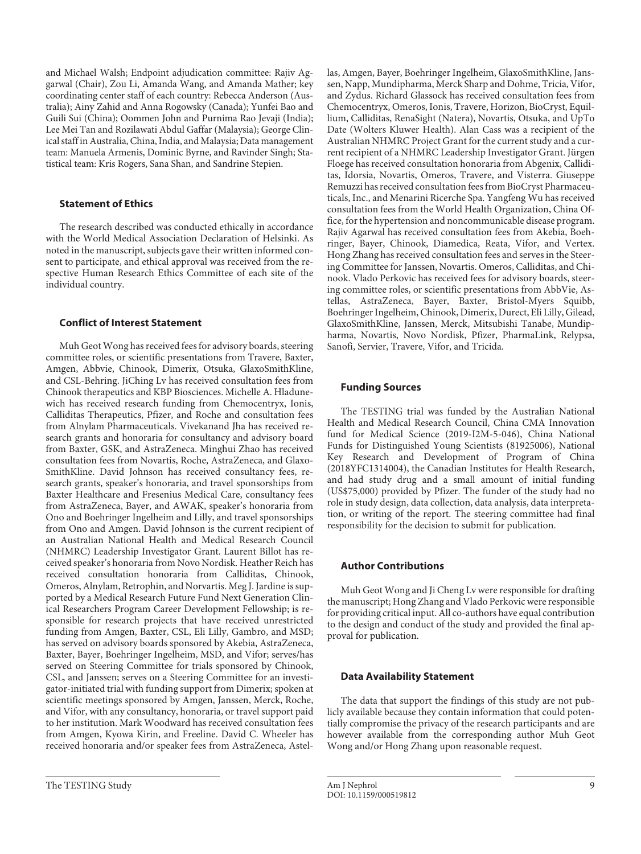and Michael Walsh; Endpoint adjudication committee: Rajiv Aggarwal (Chair), Zou Li, Amanda Wang, and Amanda Mather; key coordinating center staff of each country: Rebecca Anderson (Australia); Ainy Zahid and Anna Rogowsky (Canada); Yunfei Bao and Guili Sui (China); Oommen John and Purnima Rao Jevaji (India); Lee Mei Tan and Rozilawati Abdul Gaffar (Malaysia); George Clinical staff in Australia, China, India, and Malaysia; Data management team: Manuela Armenis, Dominic Byrne, and Ravinder Singh; Statistical team: Kris Rogers, Sana Shan, and Sandrine Stepien.

#### **Statement of Ethics**

The research described was conducted ethically in accordance with the World Medical Association Declaration of Helsinki. As noted in the manuscript, subjects gave their written informed consent to participate, and ethical approval was received from the respective Human Research Ethics Committee of each site of the individual country.

# **Conflict of Interest Statement**

Muh Geot Wong has received fees for advisory boards, steering committee roles, or scientific presentations from Travere, Baxter, Amgen, Abbvie, Chinook, Dimerix, Otsuka, GlaxoSmithKline, and CSL-Behring. JiChing Lv has received consultation fees from Chinook therapeutics and KBP Biosciences. Michelle A. Hladunewich has received research funding from Chemocentryx, Ionis, Calliditas Therapeutics, Pfizer, and Roche and consultation fees from Alnylam Pharmaceuticals. Vivekanand Jha has received research grants and honoraria for consultancy and advisory board from Baxter, GSK, and AstraZeneca. Minghui Zhao has received consultation fees from Novartis, Roche, AstraZeneca, and Glaxo-SmithKline. David Johnson has received consultancy fees, research grants, speaker's honoraria, and travel sponsorships from Baxter Healthcare and Fresenius Medical Care, consultancy fees from AstraZeneca, Bayer, and AWAK, speaker's honoraria from Ono and Boehringer Ingelheim and Lilly, and travel sponsorships from Ono and Amgen. David Johnson is the current recipient of an Australian National Health and Medical Research Council (NHMRC) Leadership Investigator Grant. Laurent Billot has received speaker's honoraria from Novo Nordisk. Heather Reich has received consultation honoraria from Calliditas, Chinook, Omeros, Alnylam, Retrophin, and Norvartis. Meg J. Jardine is supported by a Medical Research Future Fund Next Generation Clinical Researchers Program Career Development Fellowship; is responsible for research projects that have received unrestricted funding from Amgen, Baxter, CSL, Eli Lilly, Gambro, and MSD; has served on advisory boards sponsored by Akebia, AstraZeneca, Baxter, Bayer, Boehringer Ingelheim, MSD, and Vifor; serves/has served on Steering Committee for trials sponsored by Chinook, CSL, and Janssen; serves on a Steering Committee for an investigator-initiated trial with funding support from Dimerix; spoken at scientific meetings sponsored by Amgen, Janssen, Merck, Roche, and Vifor, with any consultancy, honoraria, or travel support paid to her institution. Mark Woodward has received consultation fees from Amgen, Kyowa Kirin, and Freeline. David C. Wheeler has received honoraria and/or speaker fees from AstraZeneca, Astellas, Amgen, Bayer, Boehringer Ingelheim, GlaxoSmithKline, Janssen, Napp, Mundipharma, Merck Sharp and Dohme, Tricia, Vifor, and Zydus. Richard Glassock has received consultation fees from Chemocentryx, Omeros, Ionis, Travere, Horizon, BioCryst, Equillium, Calliditas, RenaSight (Natera), Novartis, Otsuka, and UpTo Date (Wolters Kluwer Health). Alan Cass was a recipient of the Australian NHMRC Project Grant for the current study and a current recipient of a NHMRC Leadership Investigator Grant. Jürgen Floege has received consultation honoraria from Abgenix, Calliditas, Idorsia, Novartis, Omeros, Travere, and Visterra. Giuseppe Remuzzi has received consultation fees from BioCryst Pharmaceuticals, Inc., and Menarini Ricerche Spa. Yangfeng Wu has received consultation fees from the World Health Organization, China Office, for the hypertension and noncommunicable disease program. Rajiv Agarwal has received consultation fees from Akebia, Boehringer, Bayer, Chinook, Diamedica, Reata, Vifor, and Vertex. Hong Zhang has received consultation fees and serves in the Steering Committee for Janssen, Novartis. Omeros, Calliditas, and Chinook. Vlado Perkovic has received fees for advisory boards, steering committee roles, or scientific presentations from AbbVie, Astellas, AstraZeneca, Bayer, Baxter, Bristol-Myers Squibb, Boehringer Ingelheim, Chinook, Dimerix, Durect, Eli Lilly, Gilead, GlaxoSmithKline, Janssen, Merck, Mitsubishi Tanabe, Mundipharma, Novartis, Novo Nordisk, Pfizer, PharmaLink, Relypsa, Sanofi, Servier, Travere, Vifor, and Tricida.

## **Funding Sources**

The TESTING trial was funded by the Australian National Health and Medical Research Council, China CMA Innovation fund for Medical Science (2019-I2M-5-046), China National Funds for Distinguished Young Scientists (81925006), National Key Research and Development of Program of China (2018YFC1314004), the Canadian Institutes for Health Research, and had study drug and a small amount of initial funding (US\$75,000) provided by Pfizer. The funder of the study had no role in study design, data collection, data analysis, data interpretation, or writing of the report. The steering committee had final responsibility for the decision to submit for publication.

#### **Author Contributions**

Muh Geot Wong and Ji Cheng Lv were responsible for drafting the manuscript; Hong Zhang and Vlado Perkovic were responsible for providing critical input. All co-authors have equal contribution to the design and conduct of the study and provided the final approval for publication.

#### **Data Availability Statement**

The data that support the findings of this study are not publicly available because they contain information that could potentially compromise the privacy of the research participants and are however available from the corresponding author Muh Geot Wong and/or Hong Zhang upon reasonable request.